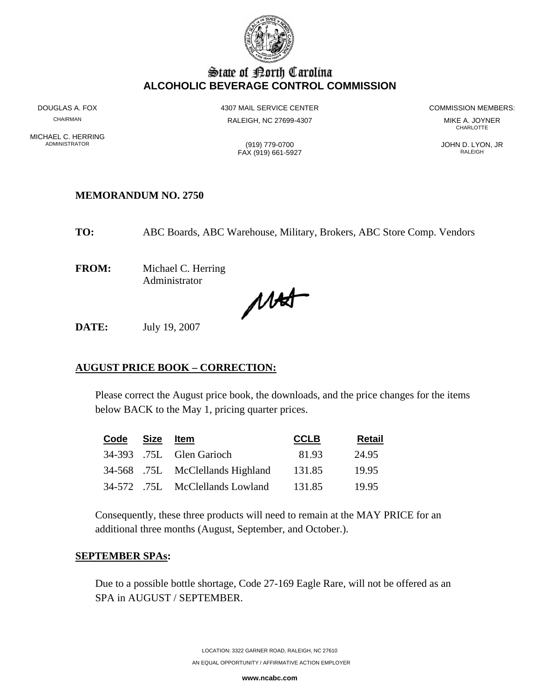

# State of Borth Carolina **ALCOHOLIC BEVERAGE CONTROL COMMISSION**

MICHAEL C. HERRING<br>ADMINISTRATOR

CHAIRMAN RALEIGH, NC 27699-4307 MIKE A. JOYNER

DOUGLAS A. FOX **ALCORYTIGE ASSESSED A 4307 MAIL SERVICE CENTER A 1200** COMMISSION MEMBERS:

**CHARLOTTE** 

ADMINISTRATOR (919) 779-0700 JOHN D. LYON, JR FAX (919) 661-5927 RALEIGH

**TO:** ABC Boards, ABC Warehouse, Military, Brokers, ABC Store Comp. Vendors

**FROM:** Michael C. Herring Administrator

**MEMORANDUM NO. 2750**

MAS

**DATE:** July 19, 2007

# **AUGUST PRICE BOOK – CORRECTION:**

Please correct the August price book, the downloads, and the price changes for the items below BACK to the May 1, pricing quarter prices.

| Code | Size | ltem                             | <b>CCLB</b> | <b>Retail</b> |
|------|------|----------------------------------|-------------|---------------|
|      |      | 34-393 .75L Glen Garioch         | 81.93       | 24.95         |
|      |      | 34-568 .75L McClellands Highland | 131.85      | 19.95         |
|      |      | 34-572 .75L McClellands Lowland  | 131.85      | 19.95         |

Consequently, these three products will need to remain at the MAY PRICE for an additional three months (August, September, and October.).

### **SEPTEMBER SPAs:**

Due to a possible bottle shortage, Code 27-169 Eagle Rare, will not be offered as an SPA in AUGUST / SEPTEMBER.

**www.ncabc.com**